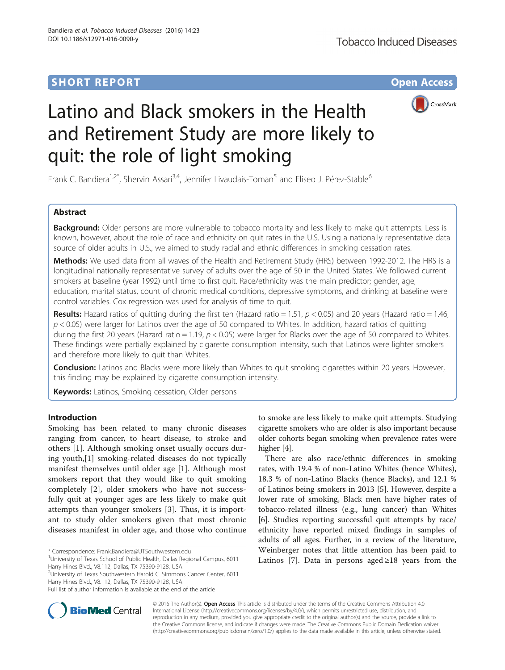# **SHORT REPORT SHORT CONSUMING THE CONSUMING THE CONSUMING THE CONSUMING THE CONSUMING THE CONSUMING THE CONSUMING THE CONSUMING THE CONSUMING THE CONSUMING THE CONSUMING THE CONSUMING THE CONSUMING THE CONSUMING THE CONS**



# Latino and Black smokers in the Health and Retirement Study are more likely to quit: the role of light smoking

Frank C. Bandiera<sup>1,2\*</sup>, Shervin Assari<sup>3,4</sup>, Jennifer Livaudais-Toman<sup>5</sup> and Eliseo J. Pérez-Stable<sup>6</sup>

# Abstract

Background: Older persons are more vulnerable to tobacco mortality and less likely to make quit attempts. Less is known, however, about the role of race and ethnicity on quit rates in the U.S. Using a nationally representative data source of older adults in U.S., we aimed to study racial and ethnic differences in smoking cessation rates.

Methods: We used data from all waves of the Health and Retirement Study (HRS) between 1992-2012. The HRS is a longitudinal nationally representative survey of adults over the age of 50 in the United States. We followed current smokers at baseline (year 1992) until time to first quit. Race/ethnicity was the main predictor; gender, age, education, marital status, count of chronic medical conditions, depressive symptoms, and drinking at baseline were control variables. Cox regression was used for analysis of time to quit.

Results: Hazard ratios of quitting during the first ten (Hazard ratio = 1.51,  $p < 0.05$ ) and 20 years (Hazard ratio = 1.46,  $p$  < 0.05) were larger for Latinos over the age of 50 compared to Whites. In addition, hazard ratios of quitting during the first 20 years (Hazard ratio = 1.19,  $p < 0.05$ ) were larger for Blacks over the age of 50 compared to Whites. These findings were partially explained by cigarette consumption intensity, such that Latinos were lighter smokers and therefore more likely to quit than Whites.

**Conclusion:** Latinos and Blacks were more likely than Whites to quit smoking cigarettes within 20 years. However, this finding may be explained by cigarette consumption intensity.

Keywords: Latinos, Smoking cessation, Older persons

# Introduction

Smoking has been related to many chronic diseases ranging from cancer, to heart disease, to stroke and others [\[1](#page-5-0)]. Although smoking onset usually occurs during youth,[[1\]](#page-5-0) smoking-related diseases do not typically manifest themselves until older age [\[1](#page-5-0)]. Although most smokers report that they would like to quit smoking completely [\[2](#page-5-0)], older smokers who have not successfully quit at younger ages are less likely to make quit attempts than younger smokers [[3\]](#page-5-0). Thus, it is important to study older smokers given that most chronic diseases manifest in older age, and those who continue

\* Correspondence: [Frank.Bandiera@UTSouthwestern.edu](mailto:Frank.Bandiera@UTSouthwestern.edu) <sup>1</sup>

<sup>1</sup>University of Texas School of Public Health, Dallas Regional Campus, 6011

Harry Hines Blvd., V8.112, Dallas, TX 75390-9128, USA

<sup>2</sup>University of Texas Southwestern Harold C. Simmons Cancer Center, 6011 Harry Hines Blvd., V8.112, Dallas, TX 75390-9128, USA

to smoke are less likely to make quit attempts. Studying cigarette smokers who are older is also important because older cohorts began smoking when prevalence rates were higher [[4\]](#page-5-0).

There are also race/ethnic differences in smoking rates, with 19.4 % of non-Latino Whites (hence Whites), 18.3 % of non-Latino Blacks (hence Blacks), and 12.1 % of Latinos being smokers in 2013 [\[5\]](#page-5-0). However, despite a lower rate of smoking, Black men have higher rates of tobacco-related illness (e.g., lung cancer) than Whites [[6\]](#page-5-0). Studies reporting successful quit attempts by race/ ethnicity have reported mixed findings in samples of adults of all ages. Further, in a review of the literature, Weinberger notes that little attention has been paid to Latinos [\[7](#page-5-0)]. Data in persons aged  $\geq$ 18 years from the



© 2016 The Author(s). Open Access This article is distributed under the terms of the Creative Commons Attribution 4.0 International License [\(http://creativecommons.org/licenses/by/4.0/](http://creativecommons.org/licenses/by/4.0/)), which permits unrestricted use, distribution, and reproduction in any medium, provided you give appropriate credit to the original author(s) and the source, provide a link to the Creative Commons license, and indicate if changes were made. The Creative Commons Public Domain Dedication waiver [\(http://creativecommons.org/publicdomain/zero/1.0/](http://creativecommons.org/publicdomain/zero/1.0/)) applies to the data made available in this article, unless otherwise stated.

Full list of author information is available at the end of the article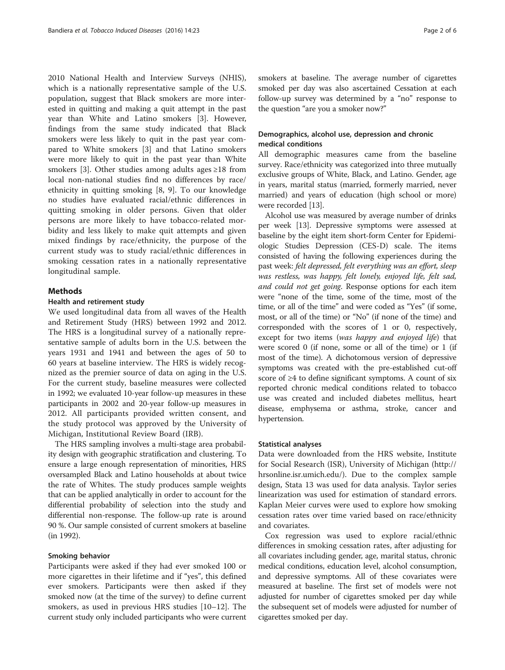2010 National Health and Interview Surveys (NHIS), which is a nationally representative sample of the U.S. population, suggest that Black smokers are more interested in quitting and making a quit attempt in the past year than White and Latino smokers [[3\]](#page-5-0). However, findings from the same study indicated that Black smokers were less likely to quit in the past year compared to White smokers [[3\]](#page-5-0) and that Latino smokers were more likely to quit in the past year than White smokers [[3\]](#page-5-0). Other studies among adults ages ≥18 from local non-national studies find no differences by race/ ethnicity in quitting smoking [[8, 9](#page-5-0)]. To our knowledge no studies have evaluated racial/ethnic differences in quitting smoking in older persons. Given that older persons are more likely to have tobacco-related morbidity and less likely to make quit attempts and given mixed findings by race/ethnicity, the purpose of the current study was to study racial/ethnic differences in smoking cessation rates in a nationally representative longitudinal sample.

# Methods

#### Health and retirement study

We used longitudinal data from all waves of the Health and Retirement Study (HRS) between 1992 and 2012. The HRS is a longitudinal survey of a nationally representative sample of adults born in the U.S. between the years 1931 and 1941 and between the ages of 50 to 60 years at baseline interview. The HRS is widely recognized as the premier source of data on aging in the U.S. For the current study, baseline measures were collected in 1992; we evaluated 10-year follow-up measures in these participants in 2002 and 20-year follow-up measures in 2012. All participants provided written consent, and the study protocol was approved by the University of Michigan, Institutional Review Board (IRB).

The HRS sampling involves a multi-stage area probability design with geographic stratification and clustering. To ensure a large enough representation of minorities, HRS oversampled Black and Latino households at about twice the rate of Whites. The study produces sample weights that can be applied analytically in order to account for the differential probability of selection into the study and differential non-response. The follow-up rate is around 90 %. Our sample consisted of current smokers at baseline (in 1992).

#### Smoking behavior

Participants were asked if they had ever smoked 100 or more cigarettes in their lifetime and if "yes", this defined ever smokers. Participants were then asked if they smoked now (at the time of the survey) to define current smokers, as used in previous HRS studies [[10](#page-5-0)–[12](#page-5-0)]. The current study only included participants who were current smokers at baseline. The average number of cigarettes smoked per day was also ascertained Cessation at each follow-up survey was determined by a "no" response to the question "are you a smoker now?"

# Demographics, alcohol use, depression and chronic medical conditions

All demographic measures came from the baseline survey. Race/ethnicity was categorized into three mutually exclusive groups of White, Black, and Latino. Gender, age in years, marital status (married, formerly married, never married) and years of education (high school or more) were recorded [[13](#page-5-0)].

Alcohol use was measured by average number of drinks per week [\[13\]](#page-5-0). Depressive symptoms were assessed at baseline by the eight item short-form Center for Epidemiologic Studies Depression (CES-D) scale. The items consisted of having the following experiences during the past week: felt depressed, felt everything was an effort, sleep was restless, was happy, felt lonely, enjoyed life, felt sad, and could not get going. Response options for each item were "none of the time, some of the time, most of the time, or all of the time" and were coded as "Yes" (if some, most, or all of the time) or "No" (if none of the time) and corresponded with the scores of 1 or 0, respectively, except for two items (was happy and enjoyed life) that were scored 0 (if none, some or all of the time) or 1 (if most of the time). A dichotomous version of depressive symptoms was created with the pre-established cut-off score of ≥4 to define significant symptoms. A count of six reported chronic medical conditions related to tobacco use was created and included diabetes mellitus, heart disease, emphysema or asthma, stroke, cancer and hypertension.

#### Statistical analyses

Data were downloaded from the HRS website, Institute for Social Research (ISR), University of Michigan [\(http://](http://hrsonline.isr.umich.edu/) [hrsonline.isr.umich.edu/\)](http://hrsonline.isr.umich.edu/). Due to the complex sample design, Stata 13 was used for data analysis. Taylor series linearization was used for estimation of standard errors. Kaplan Meier curves were used to explore how smoking cessation rates over time varied based on race/ethnicity and covariates.

Cox regression was used to explore racial/ethnic differences in smoking cessation rates, after adjusting for all covariates including gender, age, marital status, chronic medical conditions, education level, alcohol consumption, and depressive symptoms. All of these covariates were measured at baseline. The first set of models were not adjusted for number of cigarettes smoked per day while the subsequent set of models were adjusted for number of cigarettes smoked per day.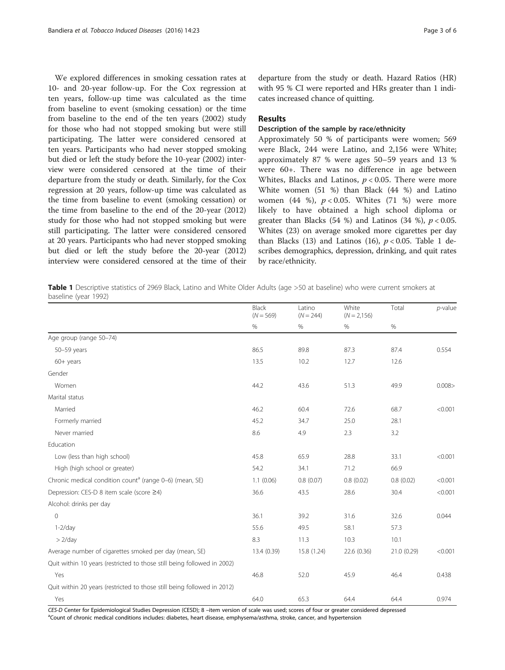We explored differences in smoking cessation rates at 10- and 20-year follow-up. For the Cox regression at ten years, follow-up time was calculated as the time from baseline to event (smoking cessation) or the time from baseline to the end of the ten years (2002) study for those who had not stopped smoking but were still participating. The latter were considered censored at ten years. Participants who had never stopped smoking but died or left the study before the 10-year (2002) interview were considered censored at the time of their departure from the study or death. Similarly, for the Cox regression at 20 years, follow-up time was calculated as the time from baseline to event (smoking cessation) or the time from baseline to the end of the 20-year (2012) study for those who had not stopped smoking but were still participating. The latter were considered censored at 20 years. Participants who had never stopped smoking but died or left the study before the 20-year (2012) interview were considered censored at the time of their departure from the study or death. Hazard Ratios (HR) with 95 % CI were reported and HRs greater than 1 indicates increased chance of quitting.

# Results

# Description of the sample by race/ethnicity

Approximately 50 % of participants were women; 569 were Black, 244 were Latino, and 2,156 were White; approximately 87 % were ages 50–59 years and 13 % were 60+. There was no difference in age between Whites, Blacks and Latinos,  $p < 0.05$ . There were more White women (51 %) than Black (44 %) and Latino women  $(44 \%)$ ,  $p < 0.05$ . Whites  $(71 \%)$  were more likely to have obtained a high school diploma or greater than Blacks  $(54 \%)$  and Latinos  $(34 \%)$ ,  $p < 0.05$ . Whites (23) on average smoked more cigarettes per day than Blacks (13) and Latinos (16),  $p < 0.05$ . Table 1 describes demographics, depression, drinking, and quit rates by race/ethnicity.

Table 1 Descriptive statistics of 2969 Black, Latino and White Older Adults (age >50 at baseline) who were current smokers at baseline (year 1992)

|                                                                         | Black<br>$(N = 569)$ | Latino<br>$(N = 244)$ | White<br>$(N = 2, 156)$ | Total       | $p$ -value |
|-------------------------------------------------------------------------|----------------------|-----------------------|-------------------------|-------------|------------|
|                                                                         | %                    | %                     | $\%$                    | $\%$        |            |
| Age group (range 50-74)                                                 |                      |                       |                         |             |            |
| 50-59 years                                                             | 86.5                 | 89.8                  | 87.3                    | 87.4        | 0.554      |
| $60+$ years                                                             | 13.5                 | 10.2                  | 12.7                    | 12.6        |            |
| Gender                                                                  |                      |                       |                         |             |            |
| Women                                                                   | 44.2                 | 43.6                  | 51.3                    | 49.9        | 0.008      |
| Marital status                                                          |                      |                       |                         |             |            |
| Married                                                                 | 46.2                 | 60.4                  | 72.6                    | 68.7        | < 0.001    |
| Formerly married                                                        | 45.2                 | 34.7                  | 25.0                    | 28.1        |            |
| Never married                                                           | 8.6                  | 4.9                   | 2.3                     | 3.2         |            |
| Education                                                               |                      |                       |                         |             |            |
| Low (less than high school)                                             | 45.8                 | 65.9                  | 28.8                    | 33.1        | < 0.001    |
| High (high school or greater)                                           | 54.2                 | 34.1                  | 71.2                    | 66.9        |            |
| Chronic medical condition count <sup>a</sup> (range 0-6) (mean, SE)     | 1.1(0.06)            | 0.8(0.07)             | 0.8(0.02)               | 0.8(0.02)   | < 0.001    |
| Depression: CES-D 8 item scale (score ≥4)                               | 36.6                 | 43.5                  | 28.6                    | 30.4        | < 0.001    |
| Alcohol: drinks per day                                                 |                      |                       |                         |             |            |
| $\circ$                                                                 | 36.1                 | 39.2                  | 31.6                    | 32.6        | 0.044      |
| $1-2$ /day                                                              | 55.6                 | 49.5                  | 58.1                    | 57.3        |            |
| $>2$ /day                                                               | 8.3                  | 11.3                  | 10.3                    | 10.1        |            |
| Average number of cigarettes smoked per day (mean, SE)                  | 13.4 (0.39)          | 15.8 (1.24)           | 22.6 (0.36)             | 21.0 (0.29) | < 0.001    |
| Quit within 10 years (restricted to those still being followed in 2002) |                      |                       |                         |             |            |
| Yes                                                                     | 46.8                 | 52.0                  | 45.9                    | 46.4        | 0.438      |
| Quit within 20 years (restricted to those still being followed in 2012) |                      |                       |                         |             |            |
| Yes                                                                     | 64.0                 | 65.3                  | 64.4                    | 64.4        | 0.974      |

CES-D Center for Epidemiological Studies Depression (CESD); 8 –item version of scale was used; scores of four or greater considered depressed <sup>a</sup> <sup>a</sup>Count of chronic medical conditions includes: diabetes, heart disease, emphysema/asthma, stroke, cancer, and hypertension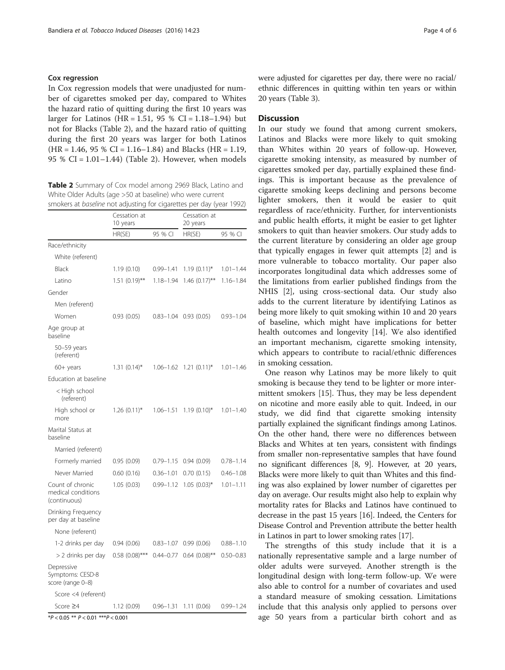# Cox regression

In Cox regression models that were unadjusted for number of cigarettes smoked per day, compared to Whites the hazard ratio of quitting during the first 10 years was larger for Latinos (HR = 1.51, 95 % CI = 1.18–1.94) but not for Blacks (Table 2), and the hazard ratio of quitting during the first 20 years was larger for both Latinos  $(HR = 1.46, 95 % CI = 1.16 - 1.84)$  and Blacks (HR = 1.19, 95 % CI =  $1.01 - 1.44$ ) (Table 2). However, when models

Table 2 Summary of Cox model among 2969 Black, Latino and White Older Adults (age >50 at baseline) who were current smokers at baseline not adjusting for cigarettes per day (year 1992)

|                                                        | Cessation at<br>10 years |               | Cessation at<br>20 years  |               |
|--------------------------------------------------------|--------------------------|---------------|---------------------------|---------------|
|                                                        | HR(SE)                   | 95 % CI       | HR(SE)                    | 95 % CI       |
| Race/ethnicity                                         |                          |               |                           |               |
| White (referent)                                       |                          |               |                           |               |
| Black                                                  | 1.19(0.10)               | $0.99 - 1.41$ | $1.19(0.11)^{*}$          | $1.01 - 1.44$ |
| Latino                                                 | $1.51(0.19)$ **          | $1.18 - 1.94$ | $1.46$ (0.17)**           | $1.16 - 1.84$ |
| Gender                                                 |                          |               |                           |               |
| Men (referent)                                         |                          |               |                           |               |
| Women                                                  | 0.93(0.05)               |               | $0.83 - 1.04$ 0.93 (0.05) | $0.93 - 1.04$ |
| Age group at<br>baseline                               |                          |               |                           |               |
| 50-59 years<br>(referent)                              |                          |               |                           |               |
| 60+ years                                              | $1.31(0.14)^{*}$         | $1.06 - 1.62$ | $1.21(0.11)^{*}$          | $1.01 - 1.46$ |
| Education at baseline                                  |                          |               |                           |               |
| < High school<br>(referent)                            |                          |               |                           |               |
| High school or<br>more                                 | $1.26(0.11)*$            | $1.06 - 1.51$ | $1.19(0.10)$ *            | $1.01 - 1.40$ |
| Marital Status at<br>baseline                          |                          |               |                           |               |
| Married (referent)                                     |                          |               |                           |               |
| Formerly married                                       | 0.95(0.09)               | $0.79 - 1.15$ | 0.94(0.09)                | $0.78 - 1.14$ |
| Never Married                                          | 0.60(0.16)               | $0.36 - 1.01$ | 0.70(0.15)                | $0.46 - 1.08$ |
| Count of chronic<br>medical conditions<br>(continuous) | 1.05(0.03)               | $0.99 - 1.12$ | $1.05(0.03)$ *            | $1.01 - 1.11$ |
| Drinking Frequency<br>per day at baseline              |                          |               |                           |               |
| None (referent)                                        |                          |               |                           |               |
| 1-2 drinks per day                                     | 0.94(0.06)               | $0.83 - 1.07$ | 0.99(0.06)                | $0.88 - 1.10$ |
| > 2 drinks per day                                     | $0.58$ $(0.08)$ ***      | $0.44 - 0.77$ | $0.64$ $(0.08)$ **        | $0.50 - 0.83$ |
| Depressive<br>Symptoms: CESD-8<br>score (range 0-8)    |                          |               |                           |               |
| Score <4 (referent)                                    |                          |               |                           |               |
| Score $\geq 4$                                         | 1.12(0.09)               | $0.96 - 1.31$ | 1.11(0.06)                | $0.99 - 1.24$ |

 $*P < 0.05$  \*\*  $P < 0.01$  \*\*\* $P < 0.001$ 

were adjusted for cigarettes per day, there were no racial/ ethnic differences in quitting within ten years or within 20 years (Table [3](#page-4-0)).

## **Discussion**

In our study we found that among current smokers, Latinos and Blacks were more likely to quit smoking than Whites within 20 years of follow-up. However, cigarette smoking intensity, as measured by number of cigarettes smoked per day, partially explained these findings. This is important because as the prevalence of cigarette smoking keeps declining and persons become lighter smokers, then it would be easier to quit regardless of race/ethnicity. Further, for interventionists and public health efforts, it might be easier to get lighter smokers to quit than heavier smokers. Our study adds to the current literature by considering an older age group that typically engages in fewer quit attempts [[2\]](#page-5-0) and is more vulnerable to tobacco mortality. Our paper also incorporates longitudinal data which addresses some of the limitations from earlier published findings from the NHIS [\[2\]](#page-5-0), using cross-sectional data. Our study also adds to the current literature by identifying Latinos as being more likely to quit smoking within 10 and 20 years of baseline, which might have implications for better health outcomes and longevity [[14\]](#page-5-0). We also identified an important mechanism, cigarette smoking intensity, which appears to contribute to racial/ethnic differences in smoking cessation.

One reason why Latinos may be more likely to quit smoking is because they tend to be lighter or more intermittent smokers [[15\]](#page-5-0). Thus, they may be less dependent on nicotine and more easily able to quit. Indeed, in our study, we did find that cigarette smoking intensity partially explained the significant findings among Latinos. On the other hand, there were no differences between Blacks and Whites at ten years, consistent with findings from smaller non-representative samples that have found no significant differences [\[8, 9](#page-5-0)]. However, at 20 years, Blacks were more likely to quit than Whites and this finding was also explained by lower number of cigarettes per day on average. Our results might also help to explain why mortality rates for Blacks and Latinos have continued to decrease in the past 15 years [\[16\]](#page-5-0). Indeed, the Centers for Disease Control and Prevention attribute the better health in Latinos in part to lower smoking rates [\[17\]](#page-5-0).

The strengths of this study include that it is a nationally representative sample and a large number of older adults were surveyed. Another strength is the longitudinal design with long-term follow-up. We were also able to control for a number of covariates and used a standard measure of smoking cessation. Limitations include that this analysis only applied to persons over age 50 years from a particular birth cohort and as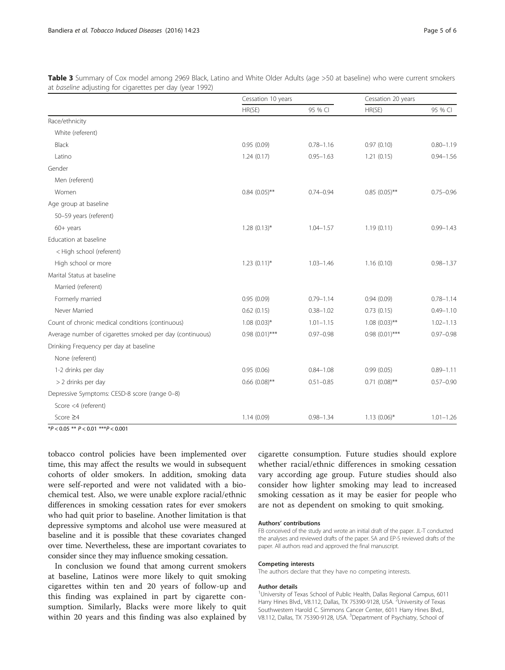|                                                          | Cessation 10 years |               | Cessation 20 years |               |
|----------------------------------------------------------|--------------------|---------------|--------------------|---------------|
|                                                          | HR(SE)             | 95 % CI       | HR(SE)             | 95 % CI       |
| Race/ethnicity                                           |                    |               |                    |               |
| White (referent)                                         |                    |               |                    |               |
| Black                                                    | 0.95(0.09)         | $0.78 - 1.16$ | 0.97(0.10)         | $0.80 - 1.19$ |
| Latino                                                   | 1.24(0.17)         | $0.95 - 1.63$ | 1.21(0.15)         | $0.94 - 1.56$ |
| Gender                                                   |                    |               |                    |               |
| Men (referent)                                           |                    |               |                    |               |
| Women                                                    | $0.84$ $(0.05)$ ** | $0.74 - 0.94$ | $0.85(0.05)$ **    | $0.75 - 0.96$ |
| Age group at baseline                                    |                    |               |                    |               |
| 50-59 years (referent)                                   |                    |               |                    |               |
| $60+$ years                                              | $1.28(0.13)*$      | $1.04 - 1.57$ | 1.19(0.11)         | $0.99 - 1.43$ |
| Education at baseline                                    |                    |               |                    |               |
| < High school (referent)                                 |                    |               |                    |               |
| High school or more                                      | $1.23$ $(0.11)^*$  | $1.03 - 1.46$ | 1.16(0.10)         | $0.98 - 1.37$ |
| Marital Status at baseline                               |                    |               |                    |               |
| Married (referent)                                       |                    |               |                    |               |
| Formerly married                                         | 0.95(0.09)         | $0.79 - 1.14$ | 0.94(0.09)         | $0.78 - 1.14$ |
| Never Married                                            | 0.62(0.15)         | $0.38 - 1.02$ | 0.73(0.15)         | $0.49 - 1.10$ |
| Count of chronic medical conditions (continuous)         | $1.08(0.03)*$      | $1.01 - 1.15$ | $1.08(0.03)$ **    | $1.02 - 1.13$ |
| Average number of cigarettes smoked per day (continuous) | $0.98(0.01)$ ***   | $0.97 - 0.98$ | $0.98(0.01)$ ***   | $0.97 - 0.98$ |
| Drinking Frequency per day at baseline                   |                    |               |                    |               |
| None (referent)                                          |                    |               |                    |               |
| 1-2 drinks per day                                       | 0.95(0.06)         | $0.84 - 1.08$ | 0.99(0.05)         | $0.89 - 1.11$ |
| > 2 drinks per day                                       | $0.66$ $(0.08)$ ** | $0.51 - 0.85$ | $0.71$ $(0.08)$ ** | $0.57 - 0.90$ |
| Depressive Symptoms: CESD-8 score (range 0-8)            |                    |               |                    |               |
| Score <4 (referent)                                      |                    |               |                    |               |
| Score $\geq 4$                                           | 1.14(0.09)         | $0.98 - 1.34$ | $1.13(0.06)$ *     | $1.01 - 1.26$ |

<span id="page-4-0"></span>Table 3 Summary of Cox model among 2969 Black, Latino and White Older Adults (age >50 at baseline) who were current smokers at baseline adjusting for cigarettes per day (year 1992)

 $*P < 0.05$  \*\*  $P < 0.01$  \*\*\* $P < 0.001$ 

tobacco control policies have been implemented over time, this may affect the results we would in subsequent cohorts of older smokers. In addition, smoking data were self-reported and were not validated with a biochemical test. Also, we were unable explore racial/ethnic differences in smoking cessation rates for ever smokers who had quit prior to baseline. Another limitation is that depressive symptoms and alcohol use were measured at baseline and it is possible that these covariates changed over time. Nevertheless, these are important covariates to consider since they may influence smoking cessation.

In conclusion we found that among current smokers at baseline, Latinos were more likely to quit smoking cigarettes within ten and 20 years of follow-up and this finding was explained in part by cigarette consumption. Similarly, Blacks were more likely to quit within 20 years and this finding was also explained by

cigarette consumption. Future studies should explore whether racial/ethnic differences in smoking cessation vary according age group. Future studies should also consider how lighter smoking may lead to increased smoking cessation as it may be easier for people who are not as dependent on smoking to quit smoking.

#### Authors' contributions

FB conceived of the study and wrote an initial draft of the paper. JL-T conducted the analyses and reviewed drafts of the paper. SA and EP-S reviewed drafts of the paper. All authors read and approved the final manuscript.

#### Competing interests

The authors declare that they have no competing interests.

#### Author details

<sup>1</sup>University of Texas School of Public Health, Dallas Regional Campus, 6011 Harry Hines Blvd., V8.112, Dallas, TX 75390-9128, USA. <sup>2</sup>University of Texas Southwestern Harold C. Simmons Cancer Center, 6011 Harry Hines Blvd., V8.112, Dallas, TX 75390-9128, USA. <sup>3</sup>Department of Psychiatry, School of